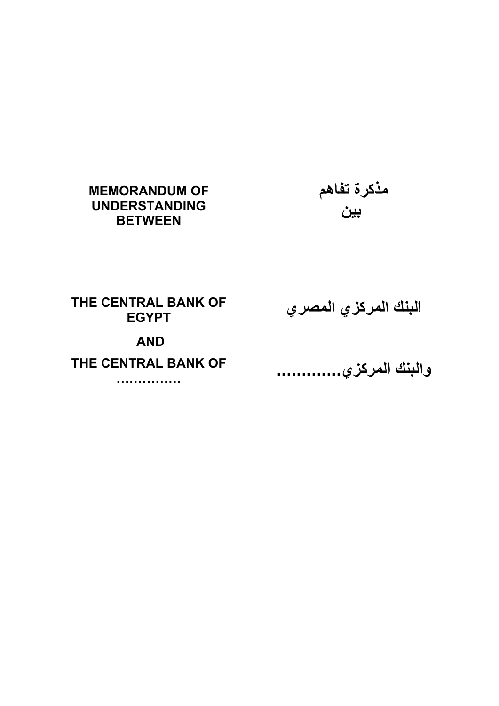# **MEMORANDUM OF UNDERSTANDING BETWEEN**

م**ذكرة تفاهم بين**

**THE CENTRAL BANK OF EGYPT** 

**البنك المرآزي المصري**

# **AND**

# **THE CENTRAL BANK OF**

**……………** 

**والبنك المرآزي .............**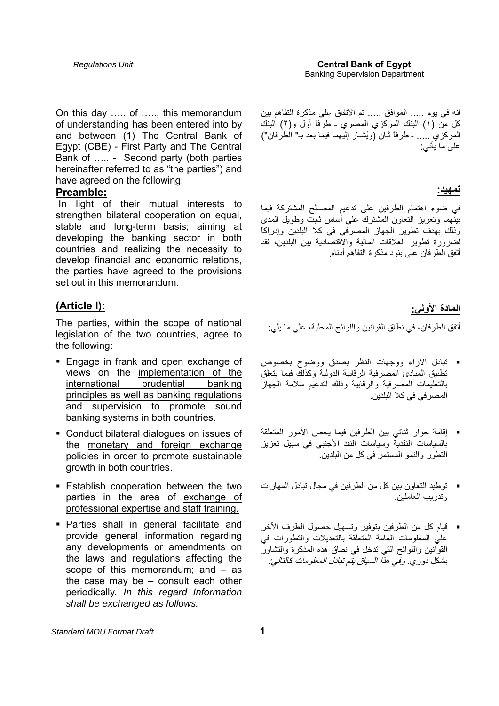On this day ….. of ….., this memorandum of understanding has been entered into by and between (1) The Central Bank of Egypt (CBE) - First Party and The Central Bank of ….. - Second party (both parties hereinafter referred to as "the parties") and have agreed on the following:

#### **Preamble:**

 In light of their mutual interests to strengthen bilateral cooperation on equal, stable and long-term basis; aiming at developing the banking sector in both countries and realizing the necessity to develop financial and economic relations, the parties have agreed to the provisions set out in this memorandum.

## **(Article I):**

The parties, within the scope of national legislation of the two countries, agree to the following:

- **Engage in frank and open exchange of** views on the implementation of the international prudential banking principles as well as banking regulations and supervision to promote sound banking systems in both countries.
- Conduct bilateral dialogues on issues of the monetary and foreign exchange policies in order to promote sustainable growth in both countries.
- Establish cooperation between the two parties in the area of exchange of professional expertise and staff training.
- Parties shall in general facilitate and provide general information regarding any developments or amendments on the laws and regulations affecting the scope of this memorandum; and – as the case may be – consult each other periodically*. In this regard Information shall be exchanged as follows:*

انه في يوم ..... الموافق ..... تم الاتفاق على مذآرة التفاهم بين كل من (١) البنك المركزي المصري ـ طرفاً أول و(٢) البنك المركزي ُ ..... ـ طرفاً ثّـانٌ (ويُشـار ْ اليّـهما فيمّا بعد بـ" الطرفان") على ما يأتي:

#### **تمهيد:**

في ضوء اهتمام الطرفين على تدعيم المصالح المشترآة فيما بينهما وتعزيز التعاون المشترك علي أساس ثابت وطويل المدى وذلك بهدف تطوير الجهاز المصرفي في آلا البلدين وإدراآاً لضرورة تطوير العلاقات المالية والاقتصادية بين البلدين، فقد أتفق الطرفان على بنود مذكر ة التفاهم أدناه.

### **المادة الأولي:**

أتفق الطرفان، في نطاق القوانين واللوائح المحلية، علي ما يلي:

- تبادل الآراء ووجهات النظر بصدق ووضوح بخصوص تطبيق المبادئ المصر فية الرقابية الدولية وكذلك فيما يتعلق بالتعليمات المصرفية والرقابية وذلك لتدعيم سلامة الجهاز المصر في في كلا البلدين.
- إقامة حوار ثنائي بين الطرفين فيما يخص الأمور المتعلقة بالسياسات النقدية وسياسات النقد الأجنبي في سبيل تعزيز التطور والنمو المستمر في كل من البلدين.<sup>"</sup>
- توطيد التعاون بين كل من الطرفين في مجال تبادل المهارات وتدريب العاملين.
- قيام آل من الطرفين بتوفير وتسهيل حصول الطرف الآخر علي المعلومات العامة المتعلقة بالتعديلات والتطورات في القوانين واللوائح التي تدخل في نطاق هذه المذكرة والتشاور بشكل دوري. وفي هذ*ا السياق يتم تبادل المعلومات كالتالي:*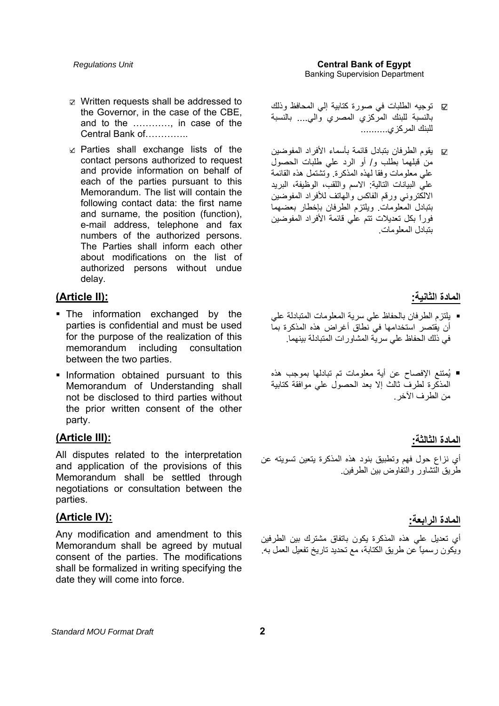- Written requests shall be addressed to the Governor, in the case of the CBE, and to the …………, in case of the Central Bank of…………..
- $\Box$  Parties shall exchange lists of the contact persons authorized to request and provide information on behalf of each of the parties pursuant to this Memorandum. The list will contain the following contact data: the first name and surname, the position (function), e-mail address, telephone and fax numbers of the authorized persons. The Parties shall inform each other about modifications on the list of authorized persons without undue delay.

## **(Article II):**

- The information exchanged by the parties is confidential and must be used for the purpose of the realization of this memorandum including consultation between the two parties.
- **Information obtained pursuant to this** Memorandum of Understanding shall not be disclosed to third parties without the prior written consent of the other party.

## **(Article III):**

All disputes related to the interpretation and application of the provisions of this Memorandum shall be settled through negotiations or consultation between the parties.

## **(Article IV):**

Any modification and amendment to this Memorandum shall be agreed by mutual consent of the parties. The modifications shall be formalized in writing specifying the date they will come into force.

- توجيه الطلبات في صورة آتابية إلي المحافظ وذلك بالنسبة للبنك المركزي المصري والي.... بالنسبة للبنك المركز ي...........
- يقوم الطرفان بتبادل قائمة بأسماء الأفراد المفوضين  $\checkmark$ من قبلهما بطلب و/ أو الرد علي طلبات الحصول على معلومات وفقا لهذه المذكرة. وتشتمل هذه القائمة علي البيانات التالية: الاسم واللقب، الوظيفة، البريد الالكتروني ورقم الفاكس والمهاتف للأفراد المفوضين بتبادل المعلومات. ويلتزم الطرفان بإخطار بعضهما فوراً بكل تعديلات تتم علي قائمة الأفراد المفوضين بتبادل المعلومات.

## **المادة الثانية:**

- يلتزم الطرفان بالحفاظ علي سرية المعلومات المتبادلة علي أن يقتصر استخدامها في نطاق أغراض هذه المذكرة بما في ذلك الحفاظ علي سرية المشاورات المتبادلة بينهما.
- يُمتنع الإفصاح عن أية معلومات تم تبادلها بموجب هذه<br>المذكرة لطرف ثالث إلا بعد الحصول على موافقة كتابية من الطرف الآخر.

#### **المادة الثالثة:**

أي نزاع حول فهم وتطبيق بنود هذه المذكرة يتعين تسويته عن طريق التشاور والتفاوض بين الطرفين.

#### **المادة الرابعة:**

أي تعديل على هذه المذكرة يكون باتفاق مشترك بين الطرفين ويكون رسمياً عن طريق الكتابة، مع تحديد تاريخ تفعيل العمل به.